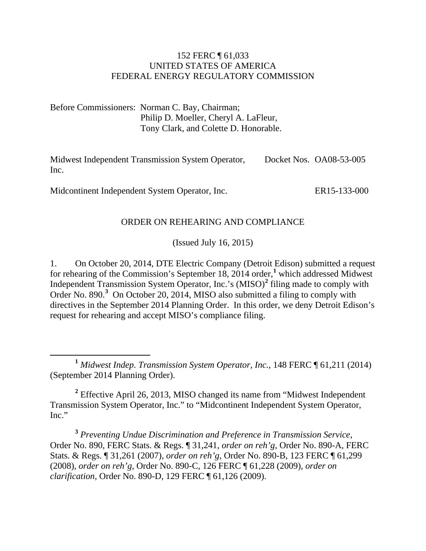#### 152 FERC ¶ 61,033 UNITED STATES OF AMERICA FEDERAL ENERGY REGULATORY COMMISSION

Before Commissioners: Norman C. Bay, Chairman; Philip D. Moeller, Cheryl A. LaFleur, Tony Clark, and Colette D. Honorable.

Midwest Independent Transmission System Operator, Inc. Docket Nos. OA08-53-005

Midcontinent Independent System Operator, Inc.

ER15-133-000

#### ORDER ON REHEARING AND COMPLIANCE

(Issued July 16, 2015)

1. On October 20, 2014, DTE Electric Company (Detroit Edison) submitted a request for rehearing of the Commission's September [1](#page-0-0)8, 2014 order,<sup>1</sup> which addressed Midwest Independent Transmission System Operator, Inc.'s (MISO) **[2](#page-0-1)** filing made to comply with Order No. 890.**[3](#page-0-2)** On October 20, 2014, MISO also submitted a filing to comply with directives in the September 2014 Planning Order. In this order, we deny Detroit Edison's request for rehearing and accept MISO's compliance filing.

<span id="page-0-1"></span>**<sup>2</sup>** Effective April 26, 2013, MISO changed its name from "Midwest Independent Transmission System Operator, Inc." to "Midcontinent Independent System Operator, Inc."

<span id="page-0-2"></span>**<sup>3</sup>** *Preventing Undue Discrimination and Preference in Transmission Service*, Order No. 890, FERC Stats. & Regs. ¶ 31,241, *order on reh'g*, Order No. 890-A, FERC Stats. & Regs. ¶ 31,261 (2007), *order on reh'g*, Order No. 890-B, 123 FERC ¶ 61,299 (2008), *order on reh'g*, Order No. 890-C, 126 FERC ¶ 61,228 (2009), *order on clarification*, Order No. 890-D, 129 FERC ¶ 61,126 (2009).

<span id="page-0-0"></span>**<sup>1</sup>** *Midwest Indep. Transmission System Operator, Inc.*, 148 FERC ¶ 61,211 (2014) (September 2014 Planning Order).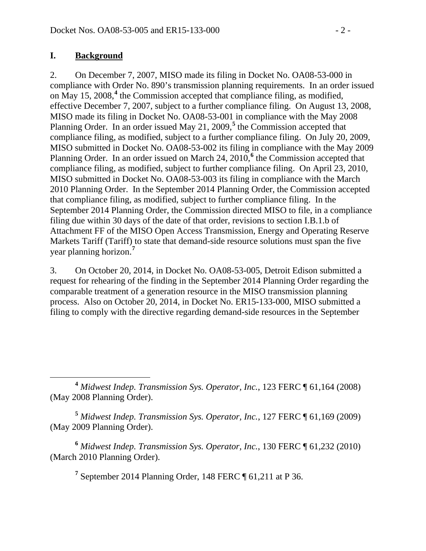#### **I. Background**

2. On December 7, 2007, MISO made its filing in Docket No. OA08-53-000 in compliance with Order No. 890's transmission planning requirements. In an order issued on May 15, 2008, **[4](#page-1-0)** the Commission accepted that compliance filing, as modified, effective December 7, 2007, subject to a further compliance filing. On August 13, 2008, MISO made its filing in Docket No. OA08-53-001 in compliance with the May 2008 Planning Order. In an order issued May 21, 2009,<sup>[5](#page-1-1)</sup> the Commission accepted that compliance filing, as modified, subject to a further compliance filing. On July 20, 2009, MISO submitted in Docket No. OA08-53-002 its filing in compliance with the May 2009 Planning Order. In an order issued on March 24, 2010,<sup>[6](#page-1-2)</sup> the Commission accepted that compliance filing, as modified, subject to further compliance filing. On April 23, 2010, MISO submitted in Docket No. OA08-53-003 its filing in compliance with the March 2010 Planning Order. In the September 2014 Planning Order, the Commission accepted that compliance filing, as modified, subject to further compliance filing. In the September 2014 Planning Order, the Commission directed MISO to file, in a compliance filing due within 30 days of the date of that order, revisions to section I.B.1.b of Attachment FF of the MISO Open Access Transmission, Energy and Operating Reserve Markets Tariff (Tariff) to state that demand-side resource solutions must span the five year planning horizon. **[7](#page-1-3)**

3. On October 20, 2014, in Docket No. OA08-53-005, Detroit Edison submitted a request for rehearing of the finding in the September 2014 Planning Order regarding the comparable treatment of a generation resource in the MISO transmission planning process. Also on October 20, 2014, in Docket No. ER15-133-000, MISO submitted a filing to comply with the directive regarding demand-side resources in the September

<span id="page-1-1"></span>**<sup>5</sup>** *Midwest Indep. Transmission Sys. Operator, Inc.*, 127 FERC ¶ 61,169 (2009) (May 2009 Planning Order).

<span id="page-1-3"></span><span id="page-1-2"></span>**<sup>6</sup>** *Midwest Indep. Transmission Sys. Operator, Inc.*, 130 FERC ¶ 61,232 (2010) (March 2010 Planning Order).

**<sup>7</sup>** September 2014 Planning Order, 148 FERC ¶ 61,211 at P 36.

<span id="page-1-0"></span>**<sup>4</sup>** *Midwest Indep. Transmission Sys. Operator, Inc.*, 123 FERC ¶ 61,164 (2008) (May 2008 Planning Order).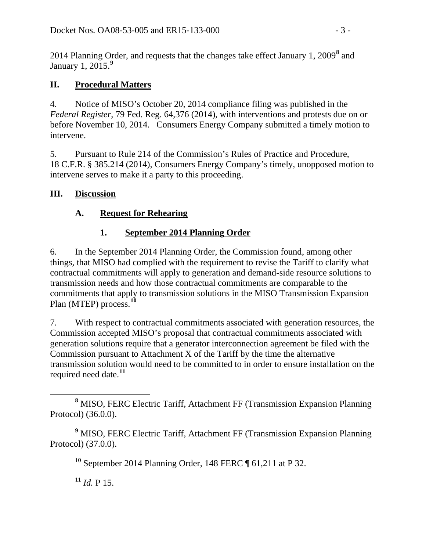2014 Planning Order, and requests that the changes take effect January 1, 2009**[8](#page-2-0)** and January 1, 2015. **[9](#page-2-1)**

## **II. Procedural Matters**

4. Notice of MISO's October 20, 2014 compliance filing was published in the *Federal Register*, 79 Fed. Reg. 64,376 (2014), with interventions and protests due on or before November 10, 2014. Consumers Energy Company submitted a timely motion to intervene.

5. Pursuant to Rule 214 of the Commission's Rules of Practice and Procedure, 18 C.F.R. § 385.214 (2014), Consumers Energy Company's timely, unopposed motion to intervene serves to make it a party to this proceeding.

### **III. Discussion**

### **A. Request for Rehearing**

### **1. September 2014 Planning Order**

6. In the September 2014 Planning Order, the Commission found, among other things, that MISO had complied with the requirement to revise the Tariff to clarify what contractual commitments will apply to generation and demand-side resource solutions to transmission needs and how those contractual commitments are comparable to the commitments that apply to transmission solutions in the MISO Transmission Expansion Plan (MTEP) process. **[10](#page-2-2)**

7. With respect to contractual commitments associated with generation resources, the Commission accepted MISO's proposal that contractual commitments associated with generation solutions require that a generator interconnection agreement be filed with the Commission pursuant to Attachment X of the Tariff by the time the alternative transmission solution would need to be committed to in order to ensure installation on the required need date.**[11](#page-2-3)**

**<sup>10</sup>** September 2014 Planning Order, 148 FERC ¶ 61,211 at P 32.

 $11$  *Id.* P 15.

<span id="page-2-0"></span>**<sup>8</sup>** MISO, FERC Electric Tariff, Attachment FF (Transmission Expansion Planning Protocol) (36.0.0).

<span id="page-2-3"></span><span id="page-2-2"></span><span id="page-2-1"></span>**<sup>9</sup>** MISO, FERC Electric Tariff, Attachment FF (Transmission Expansion Planning Protocol) (37.0.0).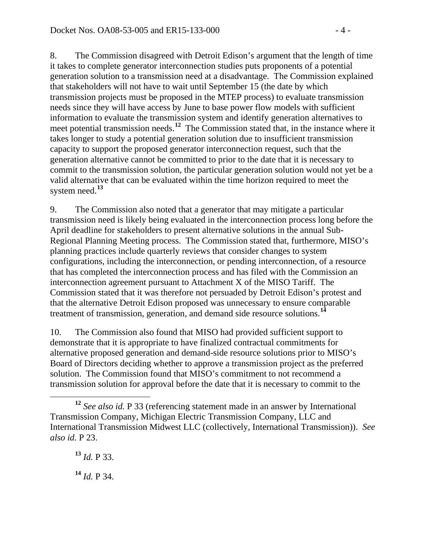8. The Commission disagreed with Detroit Edison's argument that the length of time it takes to complete generator interconnection studies puts proponents of a potential generation solution to a transmission need at a disadvantage. The Commission explained that stakeholders will not have to wait until September 15 (the date by which transmission projects must be proposed in the MTEP process) to evaluate transmission needs since they will have access by June to base power flow models with sufficient information to evaluate the transmission system and identify generation alternatives to meet potential transmission needs.<sup>[12](#page-3-0)</sup> The Commission stated that, in the instance where it takes longer to study a potential generation solution due to insufficient transmission capacity to support the proposed generator interconnection request, such that the generation alternative cannot be committed to prior to the date that it is necessary to commit to the transmission solution, the particular generation solution would not yet be a valid alternative that can be evaluated within the time horizon required to meet the system need.**[13](#page-3-1)**

9. The Commission also noted that a generator that may mitigate a particular transmission need is likely being evaluated in the interconnection process long before the April deadline for stakeholders to present alternative solutions in the annual Sub-Regional Planning Meeting process. The Commission stated that, furthermore, MISO's planning practices include quarterly reviews that consider changes to system configurations, including the interconnection, or pending interconnection, of a resource that has completed the interconnection process and has filed with the Commission an interconnection agreement pursuant to Attachment X of the MISO Tariff. The Commission stated that it was therefore not persuaded by Detroit Edison's protest and that the alternative Detroit Edison proposed was unnecessary to ensure comparable treatment of transmission, generation, and demand side resource solutions. **[14](#page-3-2)**

10. The Commission also found that MISO had provided sufficient support to demonstrate that it is appropriate to have finalized contractual commitments for alternative proposed generation and demand-side resource solutions prior to MISO's Board of Directors deciding whether to approve a transmission project as the preferred solution. The Commission found that MISO's commitment to not recommend a transmission solution for approval before the date that it is necessary to commit to the

**<sup>13</sup>** *Id.* P 33.

<span id="page-3-2"></span>**<sup>14</sup>** *Id.* P 34.

<span id="page-3-1"></span><span id="page-3-0"></span>**<sup>12</sup>** *See also id.* P 33 (referencing statement made in an answer by International Transmission Company, Michigan Electric Transmission Company, LLC and International Transmission Midwest LLC (collectively, International Transmission)). *See also id.* P 23.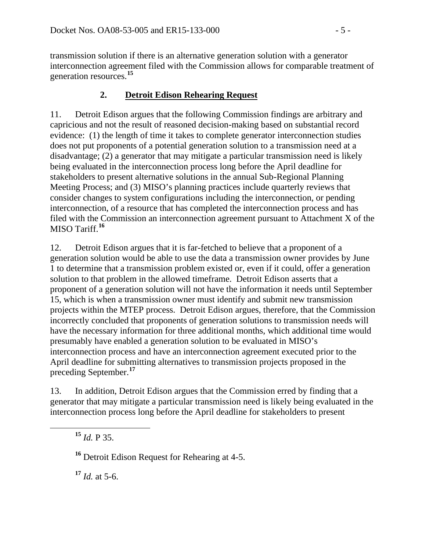transmission solution if there is an alternative generation solution with a generator interconnection agreement filed with the Commission allows for comparable treatment of generation resources.**[15](#page-4-0)**

# **2. Detroit Edison Rehearing Request**

11. Detroit Edison argues that the following Commission findings are arbitrary and capricious and not the result of reasoned decision-making based on substantial record evidence: (1) the length of time it takes to complete generator interconnection studies does not put proponents of a potential generation solution to a transmission need at a disadvantage; (2) a generator that may mitigate a particular transmission need is likely being evaluated in the interconnection process long before the April deadline for stakeholders to present alternative solutions in the annual Sub-Regional Planning Meeting Process; and (3) MISO's planning practices include quarterly reviews that consider changes to system configurations including the interconnection, or pending interconnection, of a resource that has completed the interconnection process and has filed with the Commission an interconnection agreement pursuant to Attachment X of the MISO Tariff. **[16](#page-4-1)**

12. Detroit Edison argues that it is far-fetched to believe that a proponent of a generation solution would be able to use the data a transmission owner provides by June 1 to determine that a transmission problem existed or, even if it could, offer a generation solution to that problem in the allowed timeframe. Detroit Edison asserts that a proponent of a generation solution will not have the information it needs until September 15, which is when a transmission owner must identify and submit new transmission projects within the MTEP process. Detroit Edison argues, therefore, that the Commission incorrectly concluded that proponents of generation solutions to transmission needs will have the necessary information for three additional months, which additional time would presumably have enabled a generation solution to be evaluated in MISO's interconnection process and have an interconnection agreement executed prior to the April deadline for submitting alternatives to transmission projects proposed in the preceding September.**[17](#page-4-2)**

<span id="page-4-0"></span>13. In addition, Detroit Edison argues that the Commission erred by finding that a generator that may mitigate a particular transmission need is likely being evaluated in the interconnection process long before the April deadline for stakeholders to present

**<sup>15</sup>** *Id.* P 35.

<span id="page-4-1"></span>**<sup>16</sup>** Detroit Edison Request for Rehearing at 4-5.

<span id="page-4-2"></span> $17$  *Id.* at 5-6.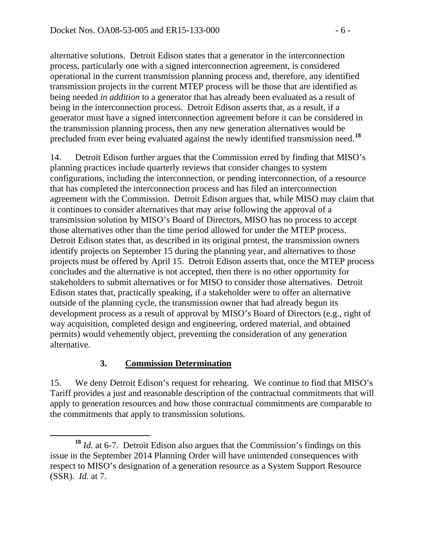alternative solutions. Detroit Edison states that a generator in the interconnection process, particularly one with a signed interconnection agreement, is considered operational in the current transmission planning process and, therefore, any identified transmission projects in the current MTEP process will be those that are identified as being needed *in addition* to a generator that has already been evaluated as a result of being in the interconnection process. Detroit Edison asserts that, as a result, if a generator must have a signed interconnection agreement before it can be considered in the transmission planning process, then any new generation alternatives would be precluded from ever being evaluated against the newly identified transmission need.**[18](#page-5-0)**

14. Detroit Edison further argues that the Commission erred by finding that MISO's planning practices include quarterly reviews that consider changes to system configurations, including the interconnection, or pending interconnection, of a resource that has completed the interconnection process and has filed an interconnection agreement with the Commission. Detroit Edison argues that, while MISO may claim that it continues to consider alternatives that may arise following the approval of a transmission solution by MISO's Board of Directors, MISO has no process to accept those alternatives other than the time period allowed for under the MTEP process. Detroit Edison states that, as described in its original protest, the transmission owners identify projects on September 15 during the planning year, and alternatives to those projects must be offered by April 15. Detroit Edison asserts that, once the MTEP process concludes and the alternative is not accepted, then there is no other opportunity for stakeholders to submit alternatives or for MISO to consider those alternatives. Detroit Edison states that, practically speaking, if a stakeholder were to offer an alternative outside of the planning cycle, the transmission owner that had already begun its development process as a result of approval by MISO's Board of Directors (e.g., right of way acquisition, completed design and engineering, ordered material, and obtained permits) would vehemently object, preventing the consideration of any generation alternative.

### **3. Commission Determination**

15. We deny Detroit Edison's request for rehearing. We continue to find that MISO's Tariff provides a just and reasonable description of the contractual commitments that will apply to generation resources and how those contractual commitments are comparable to the commitments that apply to transmission solutions.

<span id="page-5-0"></span>**<sup>18</sup>** *Id.* at 6-7. Detroit Edison also argues that the Commission's findings on this issue in the September 2014 Planning Order will have unintended consequences with respect to MISO's designation of a generation resource as a System Support Resource (SSR). *Id.* at 7.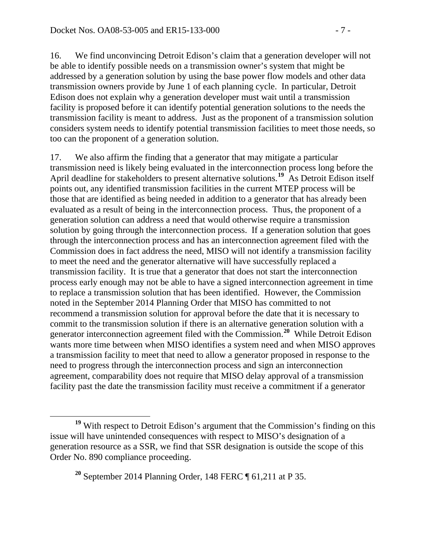16. We find unconvincing Detroit Edison's claim that a generation developer will not be able to identify possible needs on a transmission owner's system that might be addressed by a generation solution by using the base power flow models and other data transmission owners provide by June 1 of each planning cycle. In particular, Detroit Edison does not explain why a generation developer must wait until a transmission facility is proposed before it can identify potential generation solutions to the needs the transmission facility is meant to address. Just as the proponent of a transmission solution considers system needs to identify potential transmission facilities to meet those needs, so too can the proponent of a generation solution.

17. We also affirm the finding that a generator that may mitigate a particular transmission need is likely being evaluated in the interconnection process long before the April deadline for stakeholders to present alternative solutions.<sup>[19](#page-6-0)</sup> As Detroit Edison itself points out, any identified transmission facilities in the current MTEP process will be those that are identified as being needed in addition to a generator that has already been evaluated as a result of being in the interconnection process. Thus, the proponent of a generation solution can address a need that would otherwise require a transmission solution by going through the interconnection process. If a generation solution that goes through the interconnection process and has an interconnection agreement filed with the Commission does in fact address the need, MISO will not identify a transmission facility to meet the need and the generator alternative will have successfully replaced a transmission facility. It is true that a generator that does not start the interconnection process early enough may not be able to have a signed interconnection agreement in time to replace a transmission solution that has been identified. However, the Commission noted in the September 2014 Planning Order that MISO has committed to not recommend a transmission solution for approval before the date that it is necessary to commit to the transmission solution if there is an alternative generation solution with a generator interconnection agreement filed with the Commission. **[20](#page-6-1)** While Detroit Edison wants more time between when MISO identifies a system need and when MISO approves a transmission facility to meet that need to allow a generator proposed in response to the need to progress through the interconnection process and sign an interconnection agreement, comparability does not require that MISO delay approval of a transmission facility past the date the transmission facility must receive a commitment if a generator

<span id="page-6-1"></span><span id="page-6-0"></span>**<sup>19</sup>** With respect to Detroit Edison's argument that the Commission's finding on this issue will have unintended consequences with respect to MISO's designation of a generation resource as a SSR, we find that SSR designation is outside the scope of this Order No. 890 compliance proceeding.

**<sup>20</sup>** September 2014 Planning Order, 148 FERC ¶ 61,211 at P 35.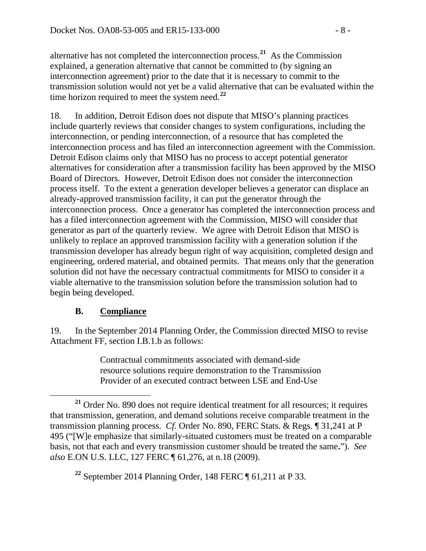alternative has not completed the interconnection process.**[21](#page-7-0)** As the Commission explained, a generation alternative that cannot be committed to (by signing an interconnection agreement) prior to the date that it is necessary to commit to the transmission solution would not yet be a valid alternative that can be evaluated within the time horizon required to meet the system need.**[22](#page-7-1)**

18. In addition, Detroit Edison does not dispute that MISO's planning practices include quarterly reviews that consider changes to system configurations, including the interconnection, or pending interconnection, of a resource that has completed the interconnection process and has filed an interconnection agreement with the Commission. Detroit Edison claims only that MISO has no process to accept potential generator alternatives for consideration after a transmission facility has been approved by the MISO Board of Directors. However, Detroit Edison does not consider the interconnection process itself. To the extent a generation developer believes a generator can displace an already-approved transmission facility, it can put the generator through the interconnection process. Once a generator has completed the interconnection process and has a filed interconnection agreement with the Commission, MISO will consider that generator as part of the quarterly review. We agree with Detroit Edison that MISO is unlikely to replace an approved transmission facility with a generation solution if the transmission developer has already begun right of way acquisition, completed design and engineering, ordered material, and obtained permits. That means only that the generation solution did not have the necessary contractual commitments for MISO to consider it a viable alternative to the transmission solution before the transmission solution had to begin being developed.

### **B. Compliance**

19. In the September 2014 Planning Order, the Commission directed MISO to revise Attachment FF, section I.B.1.b as follows:

> Contractual commitments associated with demand-side resource solutions require demonstration to the Transmission Provider of an executed contract between LSE and End-Use

<span id="page-7-1"></span>**<sup>22</sup>** September 2014 Planning Order, 148 FERC ¶ 61,211 at P 33.

<span id="page-7-0"></span>**<sup>21</sup>** Order No. 890 does not require identical treatment for all resources; it requires that transmission, generation, and demand solutions receive comparable treatment in the transmission planning process. *Cf.* Order No. 890, FERC Stats. & Regs. ¶ 31,241 at P 495 ("[W]e emphasize that similarly-situated customers must be treated on a comparable basis, not that each and every transmission customer should be treated the same**.**"). *See also* E.ON U.S. LLC, 127 FERC ¶ 61,276, at n.18 (2009).